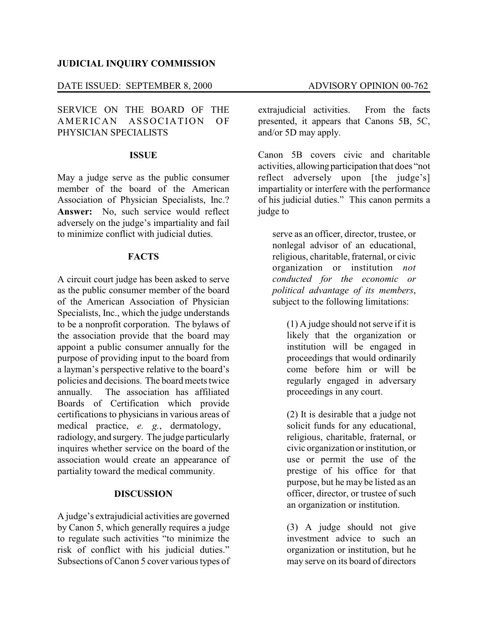#### **JUDICIAL INQUIRY COMMISSION**

### DATE ISSUED: SEPTEMBER 8, 2000 ADVISORY OPINION 00-762

## SERVICE ON THE BOARD OF THE AMERICAN ASSOCIATION OF PHYSICIAN SPECIALISTS

#### **ISSUE**

May a judge serve as the public consumer member of the board of the American Association of Physician Specialists, Inc.? **Answer:** No, such service would reflect adversely on the judge's impartiality and fail to minimize conflict with judicial duties.

#### **FACTS**

A circuit court judge has been asked to serve as the public consumer member of the board of the American Association of Physician Specialists, Inc., which the judge understands to be a nonprofit corporation. The bylaws of the association provide that the board may appoint a public consumer annually for the purpose of providing input to the board from a layman's perspective relative to the board's policies and decisions. The board meets twice annually. The association has affiliated Boards of Certification which provide certifications to physicians in various areas of medical practice, *e. g.*, dermatology, radiology, and surgery. The judge particularly inquires whether service on the board of the association would create an appearance of partiality toward the medical community.

#### **DISCUSSION**

A judge's extrajudicial activities are governed by Canon 5, which generally requires a judge to regulate such activities "to minimize the risk of conflict with his judicial duties." Subsections of Canon 5 cover various types of extrajudicial activities. From the facts presented, it appears that Canons 5B, 5C, and/or 5D may apply.

Canon 5B covers civic and charitable activities, allowing participation that does "not reflect adversely upon [the judge's] impartiality or interfere with the performance of his judicial duties." This canon permits a judge to

serve as an officer, director, trustee, or nonlegal advisor of an educational, religious, charitable, fraternal, or civic organization or institution *not conducted for the economic or political advantage of its members*, subject to the following limitations:

(1) A judge should not serve if it is likely that the organization or institution will be engaged in proceedings that would ordinarily come before him or will be regularly engaged in adversary proceedings in any court.

(2) It is desirable that a judge not solicit funds for any educational, religious, charitable, fraternal, or civic organization or institution, or use or permit the use of the prestige of his office for that purpose, but he may be listed as an officer, director, or trustee of such an organization or institution.

(3) A judge should not give investment advice to such an organization or institution, but he may serve on its board of directors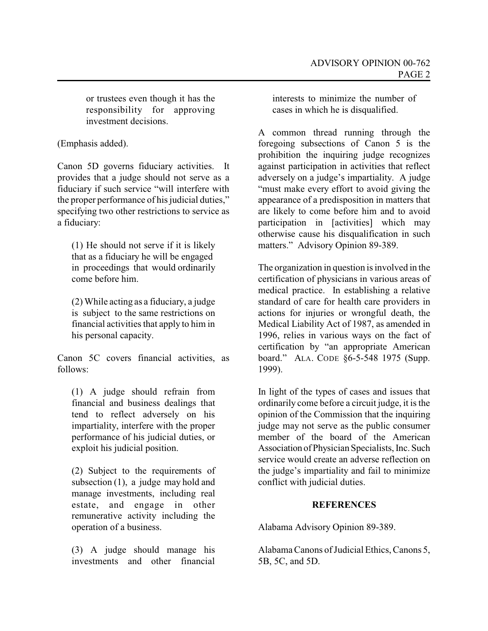or trustees even though it has the responsibility for approving investment decisions.

(Emphasis added).

Canon 5D governs fiduciary activities. It provides that a judge should not serve as a fiduciary if such service "will interfere with the proper performance of his judicial duties," specifying two other restrictions to service as a fiduciary:

(1) He should not serve if it is likely that as a fiduciary he will be engaged in proceedings that would ordinarily come before him.

(2) While acting as a fiduciary, a judge is subject to the same restrictions on financial activities that apply to him in his personal capacity.

Canon 5C covers financial activities, as follows:

(1) A judge should refrain from financial and business dealings that tend to reflect adversely on his impartiality, interfere with the proper performance of his judicial duties, or exploit his judicial position.

(2) Subject to the requirements of subsection (1), a judge may hold and manage investments, including real estate, and engage in other remunerative activity including the operation of a business.

(3) A judge should manage his investments and other financial

interests to minimize the number of cases in which he is disqualified.

A common thread running through the foregoing subsections of Canon 5 is the prohibition the inquiring judge recognizes against participation in activities that reflect adversely on a judge's impartiality. A judge "must make every effort to avoid giving the appearance of a predisposition in matters that are likely to come before him and to avoid participation in [activities] which may otherwise cause his disqualification in such matters." Advisory Opinion 89-389.

The organization in question is involved in the certification of physicians in various areas of medical practice. In establishing a relative standard of care for health care providers in actions for injuries or wrongful death, the Medical Liability Act of 1987, as amended in 1996, relies in various ways on the fact of certification by "an appropriate American board." ALA. CODE §6-5-548 1975 (Supp. 1999).

In light of the types of cases and issues that ordinarily come before a circuit judge, it is the opinion of the Commission that the inquiring judge may not serve as the public consumer member of the board of the American Association ofPhysician Specialists, Inc. Such service would create an adverse reflection on the judge's impartiality and fail to minimize conflict with judicial duties.

# **REFERENCES**

Alabama Advisory Opinion 89-389.

AlabamaCanons of Judicial Ethics, Canons 5, 5B, 5C, and 5D.